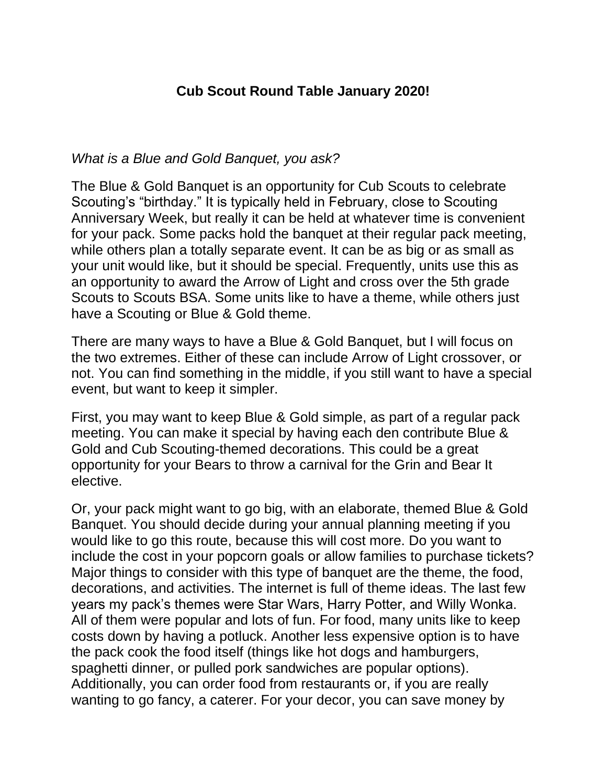## **Cub Scout Round Table January 2020!**

## *What is a Blue and Gold Banquet, you ask?*

The Blue & Gold Banquet is an opportunity for Cub Scouts to celebrate Scouting's "birthday." It is typically held in February, close to Scouting Anniversary Week, but really it can be held at whatever time is convenient for your pack. Some packs hold the banquet at their regular pack meeting, while others plan a totally separate event. It can be as big or as small as your unit would like, but it should be special. Frequently, units use this as an opportunity to award the Arrow of Light and cross over the 5th grade Scouts to Scouts BSA. Some units like to have a theme, while others just have a Scouting or Blue & Gold theme.

There are many ways to have a Blue & Gold Banquet, but I will focus on the two extremes. Either of these can include Arrow of Light crossover, or not. You can find something in the middle, if you still want to have a special event, but want to keep it simpler.

First, you may want to keep Blue & Gold simple, as part of a regular pack meeting. You can make it special by having each den contribute Blue & Gold and Cub Scouting-themed decorations. This could be a great opportunity for your Bears to throw a carnival for the Grin and Bear It elective.

Or, your pack might want to go big, with an elaborate, themed Blue & Gold Banquet. You should decide during your annual planning meeting if you would like to go this route, because this will cost more. Do you want to include the cost in your popcorn goals or allow families to purchase tickets? Major things to consider with this type of banquet are the theme, the food, decorations, and activities. The internet is full of theme ideas. The last few years my pack's themes were Star Wars, Harry Potter, and Willy Wonka. All of them were popular and lots of fun. For food, many units like to keep costs down by having a potluck. Another less expensive option is to have the pack cook the food itself (things like hot dogs and hamburgers, spaghetti dinner, or pulled pork sandwiches are popular options). Additionally, you can order food from restaurants or, if you are really wanting to go fancy, a caterer. For your decor, you can save money by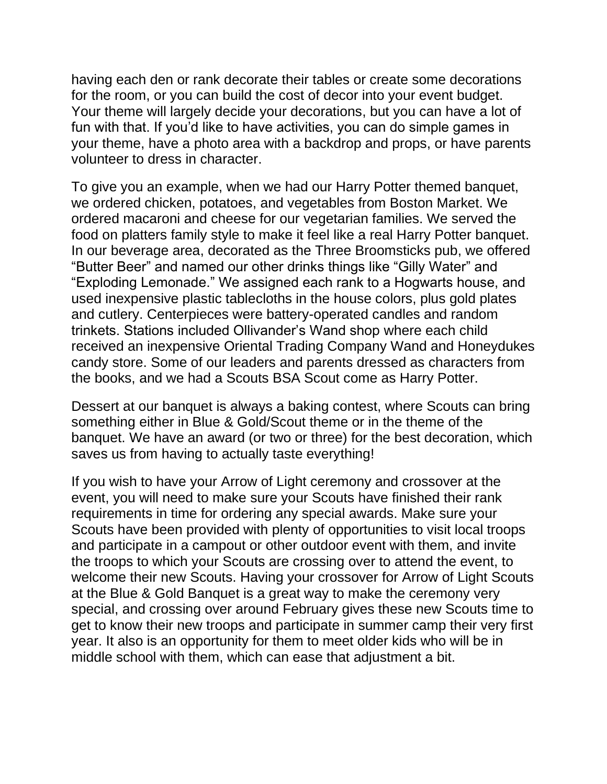having each den or rank decorate their tables or create some decorations for the room, or you can build the cost of decor into your event budget. Your theme will largely decide your decorations, but you can have a lot of fun with that. If you'd like to have activities, you can do simple games in your theme, have a photo area with a backdrop and props, or have parents volunteer to dress in character.

To give you an example, when we had our Harry Potter themed banquet, we ordered chicken, potatoes, and vegetables from Boston Market. We ordered macaroni and cheese for our vegetarian families. We served the food on platters family style to make it feel like a real Harry Potter banquet. In our beverage area, decorated as the Three Broomsticks pub, we offered "Butter Beer" and named our other drinks things like "Gilly Water" and "Exploding Lemonade." We assigned each rank to a Hogwarts house, and used inexpensive plastic tablecloths in the house colors, plus gold plates and cutlery. Centerpieces were battery-operated candles and random trinkets. Stations included Ollivander's Wand shop where each child received an inexpensive Oriental Trading Company Wand and Honeydukes candy store. Some of our leaders and parents dressed as characters from the books, and we had a Scouts BSA Scout come as Harry Potter.

Dessert at our banquet is always a baking contest, where Scouts can bring something either in Blue & Gold/Scout theme or in the theme of the banquet. We have an award (or two or three) for the best decoration, which saves us from having to actually taste everything!

If you wish to have your Arrow of Light ceremony and crossover at the event, you will need to make sure your Scouts have finished their rank requirements in time for ordering any special awards. Make sure your Scouts have been provided with plenty of opportunities to visit local troops and participate in a campout or other outdoor event with them, and invite the troops to which your Scouts are crossing over to attend the event, to welcome their new Scouts. Having your crossover for Arrow of Light Scouts at the Blue & Gold Banquet is a great way to make the ceremony very special, and crossing over around February gives these new Scouts time to get to know their new troops and participate in summer camp their very first year. It also is an opportunity for them to meet older kids who will be in middle school with them, which can ease that adjustment a bit.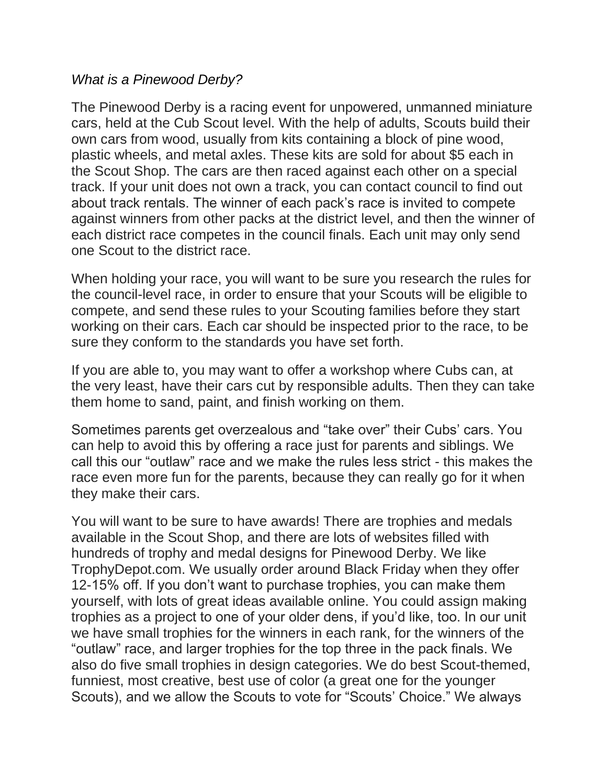## *What is a Pinewood Derby?*

The Pinewood Derby is a racing event for unpowered, unmanned miniature cars, held at the Cub Scout level. With the help of adults, Scouts build their own cars from wood, usually from kits containing a block of pine wood, plastic wheels, and metal axles. These kits are sold for about \$5 each in the Scout Shop. The cars are then raced against each other on a special track. If your unit does not own a track, you can contact council to find out about track rentals. The winner of each pack's race is invited to compete against winners from other packs at the district level, and then the winner of each district race competes in the council finals. Each unit may only send one Scout to the district race.

When holding your race, you will want to be sure you research the rules for the council-level race, in order to ensure that your Scouts will be eligible to compete, and send these rules to your Scouting families before they start working on their cars. Each car should be inspected prior to the race, to be sure they conform to the standards you have set forth.

If you are able to, you may want to offer a workshop where Cubs can, at the very least, have their cars cut by responsible adults. Then they can take them home to sand, paint, and finish working on them.

Sometimes parents get overzealous and "take over" their Cubs' cars. You can help to avoid this by offering a race just for parents and siblings. We call this our "outlaw" race and we make the rules less strict - this makes the race even more fun for the parents, because they can really go for it when they make their cars.

You will want to be sure to have awards! There are trophies and medals available in the Scout Shop, and there are lots of websites filled with hundreds of trophy and medal designs for Pinewood Derby. We like TrophyDepot.com. We usually order around Black Friday when they offer 12-15% off. If you don't want to purchase trophies, you can make them yourself, with lots of great ideas available online. You could assign making trophies as a project to one of your older dens, if you'd like, too. In our unit we have small trophies for the winners in each rank, for the winners of the "outlaw" race, and larger trophies for the top three in the pack finals. We also do five small trophies in design categories. We do best Scout-themed, funniest, most creative, best use of color (a great one for the younger Scouts), and we allow the Scouts to vote for "Scouts' Choice." We always